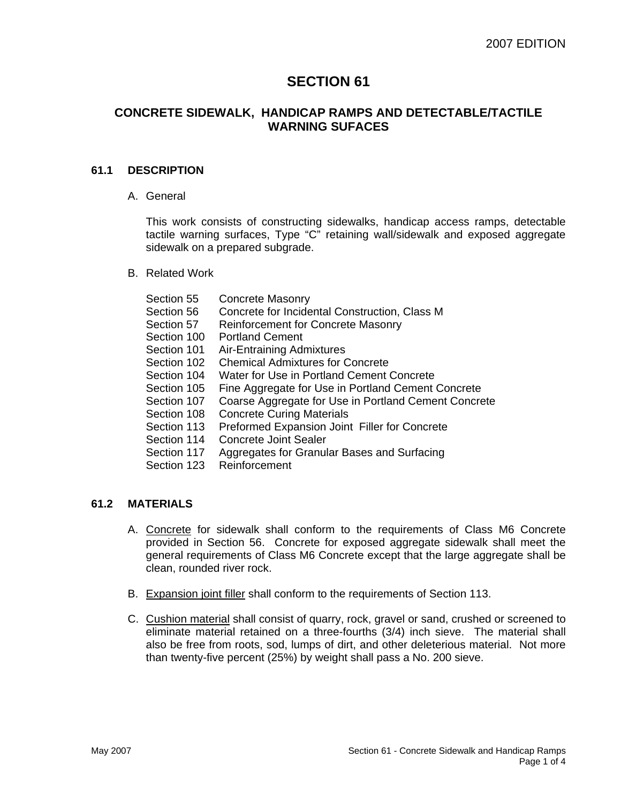# **SECTION 61**

### **CONCRETE SIDEWALK, HANDICAP RAMPS AND DETECTABLE/TACTILE WARNING SUFACES**

#### **61.1 DESCRIPTION**

A. General

This work consists of constructing sidewalks, handicap access ramps, detectable tactile warning surfaces, Type "C" retaining wall/sidewalk and exposed aggregate sidewalk on a prepared subgrade.

B. Related Work

| Section 55  | <b>Concrete Masonry</b>                              |
|-------------|------------------------------------------------------|
| Section 56  | Concrete for Incidental Construction, Class M        |
| Section 57  | <b>Reinforcement for Concrete Masonry</b>            |
| Section 100 | <b>Portland Cement</b>                               |
| Section 101 | Air-Entraining Admixtures                            |
| Section 102 | <b>Chemical Admixtures for Concrete</b>              |
| Section 104 | Water for Use in Portland Cement Concrete            |
| Section 105 | Fine Aggregate for Use in Portland Cement Concrete   |
| Section 107 | Coarse Aggregate for Use in Portland Cement Concrete |
| Section 108 | <b>Concrete Curing Materials</b>                     |
| Section 113 | Preformed Expansion Joint Filler for Concrete        |
| Section 114 | Concrete Joint Sealer                                |
| Section 117 | Aggregates for Granular Bases and Surfacing          |
| Section 123 | Reinforcement                                        |
|             |                                                      |

## **61.2 MATERIALS**

- A. Concrete for sidewalk shall conform to the requirements of Class M6 Concrete provided in Section 56. Concrete for exposed aggregate sidewalk shall meet the general requirements of Class M6 Concrete except that the large aggregate shall be clean, rounded river rock.
- B. Expansion joint filler shall conform to the requirements of Section 113.
- C. Cushion material shall consist of quarry, rock, gravel or sand, crushed or screened to eliminate material retained on a three-fourths (3/4) inch sieve. The material shall also be free from roots, sod, lumps of dirt, and other deleterious material. Not more than twenty-five percent (25%) by weight shall pass a No. 200 sieve.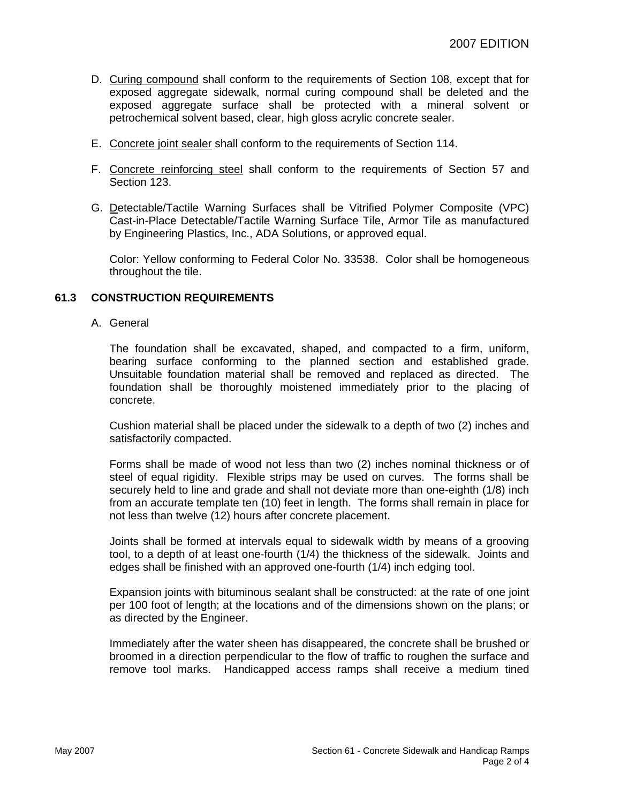- D. Curing compound shall conform to the requirements of Section 108, except that for exposed aggregate sidewalk, normal curing compound shall be deleted and the exposed aggregate surface shall be protected with a mineral solvent or petrochemical solvent based, clear, high gloss acrylic concrete sealer.
- E. Concrete joint sealer shall conform to the requirements of Section 114.
- F. Concrete reinforcing steel shall conform to the requirements of Section 57 and Section 123.
- G. Detectable/Tactile Warning Surfaces shall be Vitrified Polymer Composite (VPC) Cast-in-Place Detectable/Tactile Warning Surface Tile, Armor Tile as manufactured by Engineering Plastics, Inc., ADA Solutions, or approved equal.

Color: Yellow conforming to Federal Color No. 33538. Color shall be homogeneous throughout the tile.

#### **61.3 CONSTRUCTION REQUIREMENTS**

A. General

The foundation shall be excavated, shaped, and compacted to a firm, uniform, bearing surface conforming to the planned section and established grade. Unsuitable foundation material shall be removed and replaced as directed. The foundation shall be thoroughly moistened immediately prior to the placing of concrete.

Cushion material shall be placed under the sidewalk to a depth of two (2) inches and satisfactorily compacted.

Forms shall be made of wood not less than two (2) inches nominal thickness or of steel of equal rigidity. Flexible strips may be used on curves. The forms shall be securely held to line and grade and shall not deviate more than one-eighth (1/8) inch from an accurate template ten (10) feet in length. The forms shall remain in place for not less than twelve (12) hours after concrete placement.

Joints shall be formed at intervals equal to sidewalk width by means of a grooving tool, to a depth of at least one-fourth (1/4) the thickness of the sidewalk. Joints and edges shall be finished with an approved one-fourth (1/4) inch edging tool.

Expansion joints with bituminous sealant shall be constructed: at the rate of one joint per 100 foot of length; at the locations and of the dimensions shown on the plans; or as directed by the Engineer.

Immediately after the water sheen has disappeared, the concrete shall be brushed or broomed in a direction perpendicular to the flow of traffic to roughen the surface and remove tool marks. Handicapped access ramps shall receive a medium tined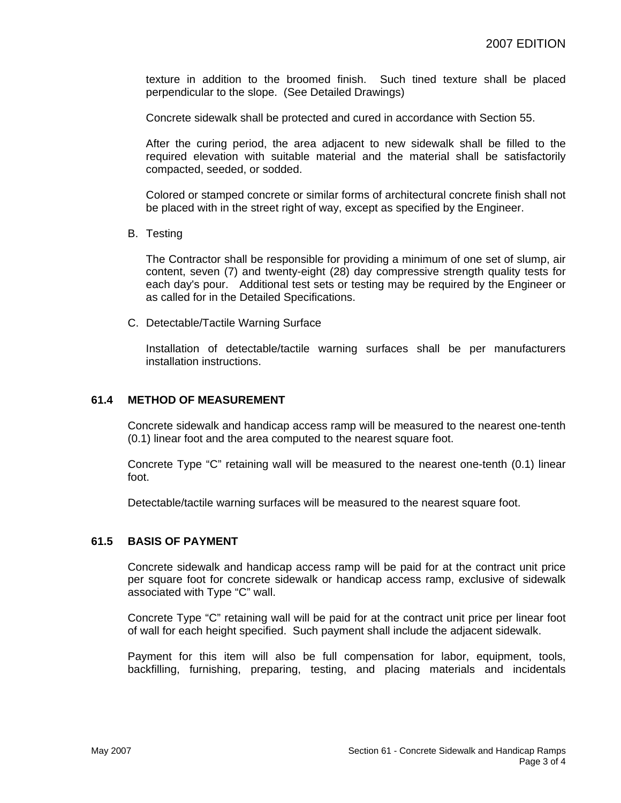texture in addition to the broomed finish. Such tined texture shall be placed perpendicular to the slope. (See Detailed Drawings)

Concrete sidewalk shall be protected and cured in accordance with Section 55.

After the curing period, the area adjacent to new sidewalk shall be filled to the required elevation with suitable material and the material shall be satisfactorily compacted, seeded, or sodded.

Colored or stamped concrete or similar forms of architectural concrete finish shall not be placed with in the street right of way, except as specified by the Engineer.

B. Testing

The Contractor shall be responsible for providing a minimum of one set of slump, air content, seven (7) and twenty-eight (28) day compressive strength quality tests for each day's pour. Additional test sets or testing may be required by the Engineer or as called for in the Detailed Specifications.

C. Detectable/Tactile Warning Surface

Installation of detectable/tactile warning surfaces shall be per manufacturers installation instructions.

#### **61.4 METHOD OF MEASUREMENT**

Concrete sidewalk and handicap access ramp will be measured to the nearest one-tenth (0.1) linear foot and the area computed to the nearest square foot.

Concrete Type "C" retaining wall will be measured to the nearest one-tenth (0.1) linear foot.

Detectable/tactile warning surfaces will be measured to the nearest square foot.

#### **61.5 BASIS OF PAYMENT**

Concrete sidewalk and handicap access ramp will be paid for at the contract unit price per square foot for concrete sidewalk or handicap access ramp, exclusive of sidewalk associated with Type "C" wall.

Concrete Type "C" retaining wall will be paid for at the contract unit price per linear foot of wall for each height specified. Such payment shall include the adjacent sidewalk.

Payment for this item will also be full compensation for labor, equipment, tools, backfilling, furnishing, preparing, testing, and placing materials and incidentals